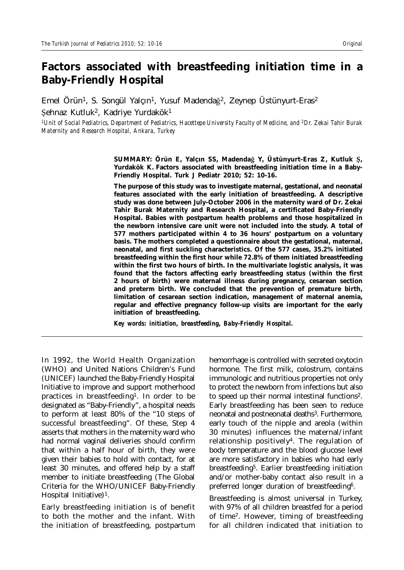# **Factors associated with breastfeeding initiation time in a Baby-Friendly Hospital**

Emel Örün<sup>1</sup>, S. Songül Yalçın<sup>1</sup>, Yusuf Madendağ<sup>2</sup>, Zeynep Üstünyurt-Eras<sup>2</sup> Şehnaz Kutluk<sup>2</sup>, Kadriye Yurdakök<sup>1</sup>

*1Unit of Social Pediatrics, Department of Pediatrics, Hacettepe University Faculty of Medicine, and 2Dr. Zekai Tahir Burak Maternity and Research Hospital, Ankara, Turkey*

> **SUMMARY: Örün E, Yalçın SS, Madendaù Y, Üstünyurt-Eras Z, Kutluk û, Yurdakök K. Factors associated with breastfeeding initiation time in a Baby-Friendly Hospital. Turk J Pediatr 2010; 52: 10-16.**

> **The purpose of this study was to investigate maternal, gestational, and neonatal features associated with the early initiation of breastfeeding. A descriptive study was done between July-October 2006 in the maternity ward of Dr. Zekai Tahir Burak Maternity and Research Hospital, a certificated Baby-Friendly Hospital. Babies with postpartum health problems and those hospitalized in the newborn intensive care unit were not included into the study. A total of 577 mothers participated within 4 to 36 hours' postpartum on a voluntary basis. The mothers completed a questionnaire about the gestational, maternal, neonatal, and first suckling characteristics. Of the 577 cases, 35.2% initiated breastfeeding within the first hour while 72.8% of them initiated breastfeeding within the first two hours of birth. In the multivariate logistic analysis, it was found that the factors affecting early breastfeeding status (within the first 2 hours of birth) were maternal illness during pregnancy, cesarean section and preterm birth. We concluded that the prevention of premature birth, limitation of cesarean section indication, management of maternal anemia, regular and effective pregnancy follow-up visits are important for the early initiation of breastfeeding.**

*Key words: initiation, breastfeeding, Baby-Friendly Hospital.*

In 1992, the World Health Organization (WHO) and United Nations Children's Fund (UNICEF) launched the Baby-Friendly Hospital Initiative to improve and support motherhood practices in breastfeeding<sup>1</sup>. In order to be designated as "Baby-Friendly", a hospital needs to perform at least 80% of the "10 steps of successful breastfeeding". Of these, Step 4 asserts that mothers in the maternity ward who had normal vaginal deliveries should confirm that within a half hour of birth, they were given their babies to hold with contact, for at least 30 minutes, and offered help by a staff member to initiate breastfeeding (The Global Criteria for the WHO/UNICEF Baby-Friendly Hospital Initiative)<sup>1</sup>.

Early breastfeeding initiation is of benefit to both the mother and the infant. With the initiation of breastfeeding, postpartum

hemorrhage is controlled with secreted oxytocin hormone. The first milk, colostrum, contains immunologic and nutritious properties not only to protect the newborn from infections but also to speed up their normal intestinal functions2. Early breastfeeding has been seen to reduce neonatal and postneonatal deaths<sup>3</sup>. Furthermore, early touch of the nipple and areola (within 30 minutes) influences the maternal/infant relationship positively4. The regulation of body temperature and the blood glucose level are more satisfactory in babies who had early breastfeeding<sup>5</sup>. Earlier breastfeeding initiation and/or mother-baby contact also result in a preferred longer duration of breastfeeding6.

Breastfeeding is almost universal in Turkey, with 97% of all children breastfed for a period of time7. However, timing of breastfeeding for all children indicated that initiation to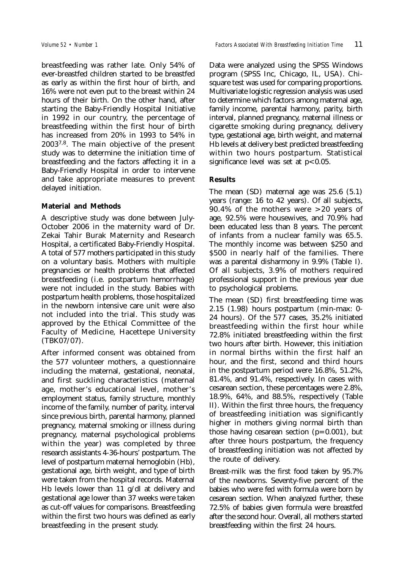breastfeeding was rather late. Only 54% of ever-breastfed children started to be breastfed as early as within the first hour of birth, and 16% were not even put to the breast within 24 hours of their birth. On the other hand, after starting the Baby-Friendly Hospital Initiative in 1992 in our country, the percentage of breastfeeding within the first hour of birth has increased from 20% in 1993 to 54% in 20037,8. The main objective of the present study was to determine the initiation time of breastfeeding and the factors affecting it in a Baby-Friendly Hospital in order to intervene and take appropriate measures to prevent delayed initiation.

### **Material and Methods**

A descriptive study was done between July-October 2006 in the maternity ward of Dr. Zekai Tahir Burak Maternity and Research Hospital, a certificated Baby-Friendly Hospital. A total of 577 mothers participated in this study on a voluntary basis. Mothers with multiple pregnancies or health problems that affected breastfeeding (i.e. postpartum hemorrhage) were not included in the study. Babies with postpartum health problems, those hospitalized in the newborn intensive care unit were also not included into the trial. This study was approved by the Ethical Committee of the Faculty of Medicine, Hacettepe University (TBK07/07).

After informed consent was obtained from the 577 volunteer mothers, a questionnaire including the maternal, gestational, neonatal, and first suckling characteristics (maternal age, mother's educational level, mother's employment status, family structure, monthly income of the family, number of parity, interval since previous birth, parental harmony, planned pregnancy, maternal smoking or illness during pregnancy, maternal psychological problems within the year) was completed by three research assistants 4-36-hours' postpartum. The level of postpartum maternal hemoglobin (Hb), gestational age, birth weight, and type of birth were taken from the hospital records. Maternal Hb levels lower than 11 g/dl at delivery and gestational age lower than 37 weeks were taken as cut-off values for comparisons. Breastfeeding within the first two hours was defined as early breastfeeding in the present study.

Data were analyzed using the SPSS Windows program (SPSS Inc, Chicago, IL, USA). Chisquare test was used for comparing proportions. Multivariate logistic regression analysis was used to determine which factors among maternal age, family income, parental harmony, parity, birth interval, planned pregnancy, maternal illness or cigarette smoking during pregnancy, delivery type, gestational age, birth weight, and maternal Hb levels at delivery best predicted breastfeeding within two hours postpartum. Statistical significance level was set at  $p < 0.05$ .

### **Results**

The mean (SD) maternal age was 25.6 (5.1) years (range: 16 to 42 years). Of all subjects, 90.4% of the mothers were >20 years of age, 92.5% were housewives, and 70.9% had been educated less than 8 years. The percent of infants from a nuclear family was 65.5. The monthly income was between \$250 and \$500 in nearly half of the families. There was a parental disharmony in 9.9% (Table I). Of all subjects, 3.9% of mothers required professional support in the previous year due to psychological problems.

The mean (SD) first breastfeeding time was 2.15 (1.98) hours postpartum (min-max: 0- 24 hours). Of the 577 cases, 35.2% initiated breastfeeding within the first hour while 72.8% initiated breastfeeding within the first two hours after birth. However, this initiation in normal births within the first half an hour, and the first, second and third hours in the postpartum period were 16.8%, 51.2%, 81.4%, and 91.4%, respectively. In cases with cesarean section, these percentages were 2.8%, 18.9%, 64%, and 88.5%, respectively (Table II). Within the first three hours, the frequency of breastfeeding initiation was significantly higher in mothers giving normal birth than those having cesarean section  $(p=0.001)$ , but after three hours postpartum, the frequency of breastfeeding initiation was not affected by the route of delivery.

Breast-milk was the first food taken by 95.7% of the newborns. Seventy-five percent of the babies who were fed with formula were born by cesarean section. When analyzed further, these 72.5% of babies given formula were breastfed after the second hour. Overall, all mothers started breastfeeding within the first 24 hours.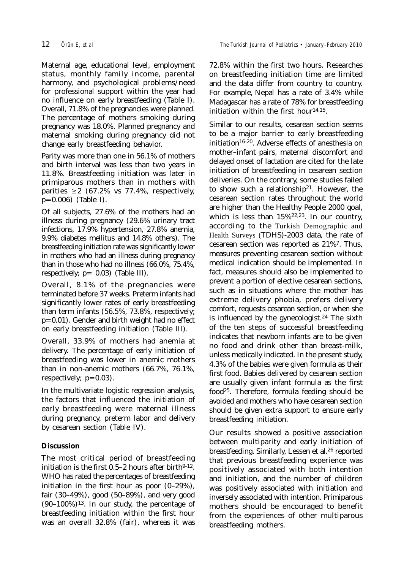Maternal age, educational level, employment status, monthly family income, parental harmony, and psychological problems/need for professional support within the year had no influence on early breastfeeding (Table I). Overall, 71.8% of the pregnancies were planned. The percentage of mothers smoking during pregnancy was 18.0%. Planned pregnancy and maternal smoking during pregnancy did not change early breastfeeding behavior.

Parity was more than one in 56.1% of mothers and birth interval was less than two years in 11.8%. Breastfeeding initiation was later in primiparous mothers than in mothers with parities  $\geq 2$  (67.2% vs 77.4%, respectively, p=0.006) (Table I).

Of all subjects, 27.6% of the mothers had an illness during pregnancy (29.6% urinary tract infections, 17.9% hypertension, 27.8% anemia, 9.9% diabetes mellitus and 14.8% others). The breastfeeding initiation rate was significantly lower in mothers who had an illness during pregnancy than in those who had no illness (66.0%, 75.4%, respectively;  $p= 0.03$ ) (Table III).

Overall, 8.1% of the pregnancies were terminated before 37 weeks. Preterm infants had significantly lower rates of early breastfeeding than term infants (56.5%, 73.8%, respectively; p=0.01). Gender and birth weight had no effect on early breastfeeding initiation (Table III).

Overall, 33.9% of mothers had anemia at delivery. The percentage of early initiation of breastfeeding was lower in anemic mothers than in non-anemic mothers (66.7%, 76.1%, respectively;  $p=0.03$ ).

In the multivariate logistic regression analysis, the factors that influenced the initiation of early breastfeeding were maternal illness during pregnancy, preterm labor and delivery by cesarean section (Table IV).

## **Discussion**

The most critical period of breastfeeding initiation is the first  $0.5-2$  hours after birth $9-12$ . WHO has rated the percentages of breastfeeding initiation in the first hour as poor (0–29%), fair (30–49%), good (50–89%), and very good  $(90-100\%)$ <sup>13</sup>. In our study, the percentage of breastfeeding initiation within the first hour was an overall 32.8% (fair), whereas it was

72.8% within the first two hours. Researches on breastfeeding initiation time are limited and the data differ from country to country. For example, Nepal has a rate of 3.4% while Madagascar has a rate of 78% for breastfeeding initiation within the first hour $14,15$ .

Similar to our results, cesarean section seems to be a major barrier to early breastfeeding initiation16-20. Adverse effects of anesthesia on mother–infant pairs, maternal discomfort and delayed onset of lactation are cited for the late initiation of breastfeeding in cesarean section deliveries. On the contrary, some studies failed to show such a relationship21. However, the cesarean section rates throughout the world are higher than the Healthy People 2000 goal, which is less than 15%22,23. In our country, according to the Turkish Demographic and Health Surveys (TDHS)-2003 data, the rate of cesarean section was reported as 21%7. Thus, measures preventing cesarean section without medical indication should be implemented. In fact, measures should also be implemented to prevent a portion of elective cesarean sections, such as in situations where the mother has extreme delivery phobia, prefers delivery comfort, requests cesarean section, or when she is influenced by the gynecologist.<sup>24</sup> The sixth of the ten steps of successful breastfeeding indicates that newborn infants are to be given no food and drink other than breast-milk, unless medically indicated. In the present study, 4.3% of the babies were given formula as their first food. Babies delivered by cesarean section are usually given infant formula as the first food25. Therefore, formula feeding should be avoided and mothers who have cesarean section should be given extra support to ensure early breastfeeding initiation.

Our results showed a positive association between multiparity and early initiation of breastfeeding. Similarly, Lessen et al.26 reported that previous breastfeeding experience was positively associated with both intention and initiation, and the number of children was positively associated with initiation and inversely associated with intention. Primiparous mothers should be encouraged to benefit from the experiences of other multiparous breastfeeding mothers.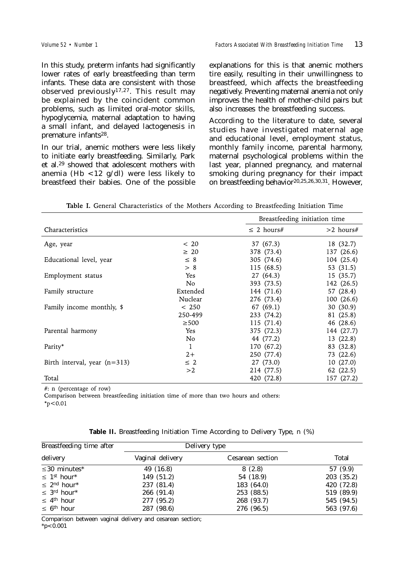In this study, preterm infants had significantly lower rates of early breastfeeding than term infants. These data are consistent with those observed previously17,27. This result may be explained by the coincident common problems, such as limited oral-motor skills, hypoglycemia, maternal adaptation to having a small infant, and delayed lactogenesis in premature infants<sup>28</sup>.

In our trial, anemic mothers were less likely to initiate early breastfeeding. Similarly, Park et al.29 showed that adolescent mothers with anemia (Hb <12 g/dl) were less likely to breastfeed their babies. One of the possible explanations for this is that anemic mothers tire easily, resulting in their unwillingness to breastfeed, which affects the breastfeeding negatively. Preventing maternal anemia not only improves the health of mother-child pairs but also increases the breastfeeding success.

According to the literature to date, several studies have investigated maternal age and educational level, employment status, monthly family income, parental harmony, maternal psychological problems within the last year, planned pregnancy, and maternal smoking during pregnancy for their impact on breastfeeding behavior20,25,26,30,31. However,

|  |  | Table I. General Characteristics of the Mothers According to Breastfeeding Initiation Time |  |  |  |  |  |  |  |  |
|--|--|--------------------------------------------------------------------------------------------|--|--|--|--|--|--|--|--|
|--|--|--------------------------------------------------------------------------------------------|--|--|--|--|--|--|--|--|

|                                |              | Breastfeeding initiation time |             |  |
|--------------------------------|--------------|-------------------------------|-------------|--|
| Characteristics                |              | $\leq$ 2 hours#               | $>2$ hours# |  |
| Age, year                      | ~<~20        | 37 (67.3)                     | 18 (32.7)   |  |
|                                | $\geq 20$    | 378 (73.4)                    | 137 (26.6)  |  |
| Educational level, year        | $\leq 8$     | 305 (74.6)                    | 104 (25.4)  |  |
|                                | > 8          | 115 (68.5)                    | 53 (31.5)   |  |
| Employment status              | Yes          | 27 (64.3)                     | 15 (35.7)   |  |
|                                | No.          | 393 (73.5)                    | 142 (26.5)  |  |
| Family structure               | Extended     | 144 (71.6)                    | 57 (28.4)   |  |
|                                | Nuclear      | 276 (73.4)                    | 100 (26.6)  |  |
| Family income monthly, \$      | < 250        | 67 (69.1)                     | 30 (30.9)   |  |
|                                | 250-499      | 233 (74.2)                    | 81 (25.8)   |  |
|                                | $\geq$ 500   | 115 (71.4)                    | 46 (28.6)   |  |
| Parental harmony               | Yes          | 375 (72.3)                    | 144 (27.7)  |  |
|                                | No.          | 44 (77.2)                     | 13 (22.8)   |  |
| Parity*                        | $\mathbf{1}$ | 170 (67.2)                    | 83 (32.8)   |  |
|                                | $2+$         | 250 (77.4)                    | 73 (22.6)   |  |
| Birth interval, year $(n=313)$ | $\leq$ 2     | 27 (73.0)                     | 10(27.0)    |  |
|                                | >2           | 214 (77.5)                    | 62 (22.5)   |  |
| Total                          |              | 420 (72.8)                    | 157 (27.2)  |  |

#: n (percentage of row)

Comparison between breastfeeding initiation time of more than two hours and others:

 $*_{p}<0.01$ 

|  |  | Table II. Breastfeeding Initiation Time According to Delivery Type, n (%) |  |  |  |  |  |  |  |  |  |
|--|--|---------------------------------------------------------------------------|--|--|--|--|--|--|--|--|--|
|--|--|---------------------------------------------------------------------------|--|--|--|--|--|--|--|--|--|

| Breastfeeding time after                 | Delivery type    |                  |            |
|------------------------------------------|------------------|------------------|------------|
| delivery                                 | Vaginal delivery | Cesarean section | Total      |
| $\leq$ 30 minutes <sup>*</sup>           | 49 (16.8)        | 8(2.8)           | 57 (9.9)   |
| $\leq 1^{\text{st}}$ hour <sup>*</sup>   | 149 (51.2)       | 54 (18.9)        | 203(35.2)  |
| $\leq 2^{\text{nd}}$ hour <sup>*</sup>   | 237 (81.4)       | 183 (64.0)       | 420 (72.8) |
| $\leq$ 3 <sup>rd</sup> hour <sup>*</sup> | 266 (91.4)       | 253 (88.5)       | 519 (89.9) |
| $\leq 4^{\text{th}}$ hour                | 277 (95.2)       | 268 (93.7)       | 545 (94.5) |
| $\leq 6$ <sup>th</sup> hour              | 287 (98.6)       | 276 (96.5)       | 563 (97.6) |

Comparison between vaginal delivery and cesarean section;

 $*_{p<} 0.001$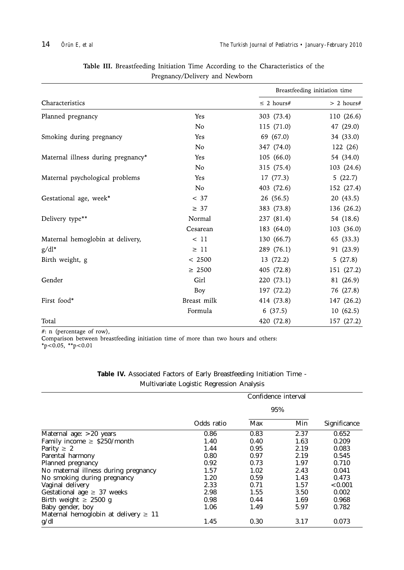|                                    |                |                 | Breastfeeding initiation time |
|------------------------------------|----------------|-----------------|-------------------------------|
| Characteristics                    |                | $\leq$ 2 hours# | $> 2$ hours#                  |
| Planned pregnancy                  | Yes            | 303 (73.4)      | 110 (26.6)                    |
|                                    | N <sub>o</sub> | 115 (71.0)      | 47 (29.0)                     |
| Smoking during pregnancy           | Yes            | 69 (67.0)       | 34 (33.0)                     |
|                                    | No             | 347 (74.0)      | 122 (26)                      |
| Maternal illness during pregnancy* | Yes            | 105 (66.0)      | 54 (34.0)                     |
|                                    | N <sub>o</sub> | 315 (75.4)      | 103 (24.6)                    |
| Maternal psychological problems    | Yes            | 17 (77.3)       | 5(22.7)                       |
|                                    | N <sub>o</sub> | 403 (72.6)      | 152 (27.4)                    |
| Gestational age, week*             | < 37           | 26 (56.5)       | 20(43.5)                      |
|                                    | $\geq 37$      | 383 (73.8)      | 136 (26.2)                    |
| Delivery type**                    | Normal         | 237 (81.4)      | 54 (18.6)                     |
|                                    | Cesarean       | 183 (64.0)      | 103 (36.0)                    |
| Maternal hemoglobin at delivery,   | < 11           | 130 (66.7)      | 65 (33.3)                     |
| $g/dl^*$                           | $\geq$ 11      | 289 (76.1)      | 91 (23.9)                     |
| Birth weight, g                    | < 2500         | 13(72.2)        | 5(27.8)                       |
|                                    | $\geq 2500$    | 405 (72.8)      | 151 (27.2)                    |
| Gender                             | Girl           | 220 (73.1)      | 81 (26.9)                     |
|                                    | Boy            | 197 (72.2)      | 76 (27.8)                     |
| First food*                        | Breast milk    | 414 (73.8)      | 147 (26.2)                    |
|                                    | Formula        | 6(37.5)         | 10(62.5)                      |
| Total                              |                | 420 (72.8)      | 157 (27.2)                    |

Table III. Breastfeeding Initiation Time According to the Characteristics of the Pregnancy/Delivery and Newborn

#: n (percentage of row),

Comparison between breastfeeding initiation time of more than two hours and others:<br>\* $p < 0.05$ , \*\* $p < 0.01$ 

|  | Table IV. Associated Factors of Early Breastfeeding Initiation Time - |  |                                           |  |  |
|--|-----------------------------------------------------------------------|--|-------------------------------------------|--|--|
|  |                                                                       |  | Multivariate Logistic Regression Analysis |  |  |

|                                           | Confidence interval |      |      |              |  |  |  |
|-------------------------------------------|---------------------|------|------|--------------|--|--|--|
|                                           |                     | 95%  |      |              |  |  |  |
|                                           | Odds ratio          | Max  | Min  | Significance |  |  |  |
| Maternal age: $>20$ years                 | 0.86                | 0.83 | 2.37 | 0.652        |  |  |  |
| Family income $\geq$ \$250/month          | 1.40                | 0.40 | 1.63 | 0.209        |  |  |  |
| Parity $\geq 2$                           | 1.44                | 0.95 | 2.19 | 0.083        |  |  |  |
| Parental harmony                          | 0.80                | 0.97 | 2.19 | 0.545        |  |  |  |
| Planned pregnancy                         | 0.92                | 0.73 | 1.97 | 0.710        |  |  |  |
| No maternal illness during pregnancy      | 1.57                | 1.02 | 2.43 | 0.041        |  |  |  |
| No smoking during pregnancy               | 1.20                | 0.59 | 1.43 | 0.473        |  |  |  |
| Vaginal delivery                          | 2.33                | 0.71 | 1.57 | < 0.001      |  |  |  |
| Gestational age $\geq$ 37 weeks           | 2.98                | 1.55 | 3.50 | 0.002        |  |  |  |
| Birth weight $\geq 2500$ g                | 0.98                | 0.44 | 1.69 | 0.968        |  |  |  |
| Baby gender, boy                          | 1.06                | 1.49 | 5.97 | 0.782        |  |  |  |
| Maternal hemoglobin at delivery $\geq 11$ |                     |      |      |              |  |  |  |
| g/dl                                      | 1.45                | 0.30 | 3.17 | 0.073        |  |  |  |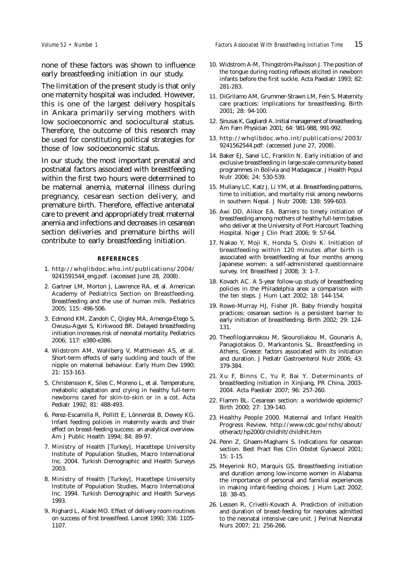none of these factors was shown to influence early breastfeeding initiation in our study.

The limitation of the present study is that only one maternity hospital was included. However, this is one of the largest delivery hospitals in Ankara primarily serving mothers with low socioeconomic and sociocultural status. Therefore, the outcome of this research may be used for constituting political strategies for those of low socioeconomic status.

In our study, the most important prenatal and postnatal factors associated with breastfeeding within the first two hours were determined to be maternal anemia, maternal illness during pregnancy, cesarean section delivery, and premature birth. Therefore, effective antenatal care to prevent and appropriately treat maternal anemia and infections and decreases in cesarean section deliveries and premature births will contribute to early breastfeeding initiation.

#### **REFERENCES**

- 1. http://whqlibdoc.who.int/publications/2004/ 9241591544\_eng.pdf. (accessed June 28, 2008).
- 2. Gartner LM, Morton J, Lawrence RA, et al. American Academy of Pediatrics Section on Breastfeeding. Breastfeeding and the use of human milk. Pediatrics 2005; 115: 496-506.
- 3. Edmond KM, Zandoh C, Qigley MA, Amenga-Etego S, Owusu-Agyei S, Kirkwood BR. Delayed breastfeeding initiation increases risk of neonatal mortality. Pediatrics 2006; 117: e380-e386.
- 4. Widstrom AM, Wahlberg V, Matthiesen AS, et al. Short-term effects of early suckling and touch of the nipple on maternal behaviour. Early Hum Dev 1990; 21: 153-163.
- 5. Christensson K, Siles C, Moreno L, et al. Temperature, metabolic adaptation and crying in healthy full-term newborns cared for skin-to-skin or in a cot. Acta Pediatr 1992; 81: 488-493.
- 6. Perez-Escamilla R, Pollitt E, Lönnerdal B, Dewey KG. Infant feeding policies in maternity wards and their effect on breast-feeding success: an analytical overview. Am J Public Health 1994; 84: 89-97.
- 7. Ministry of Health [Turkey], Hacettepe University Institute of Population Studies, Macro International Inc. 2004. Turkish Demographic and Health Surveys 2003.
- 8. Ministry of Health [Turkey], Hacettepe University Institute of Population Studies, Macro International Inc. 1994. Turkish Demographic and Health Surveys 1993.
- 9. Righard L, Alade MO. Effect of delivery room routines on success of first breastfeed. Lancet 1990; 336: 1105- 1107.
- 10. Widstrom A-M, Thingström-Paulsson J. The position of the tongue during rooting reflexes elicited in newborn infants before the first suckle. Acta Paediatr 1993; 82: 281-283.
- 11. DiGrilamo AM, Grummer-Strawn LM, Fein S. Maternity care practices: implications for breastfeeding. Birth 2001; 28: 94-100.
- 12. Sinusas K, Gagliardi A. Initial management of breastfeeding. Am Fam Physician 2001; 64: 981-988, 991-992.
- 13. http://whqlibdoc.who.int/publications/2003/ 9241562544.pdf: (accessed June 27, 2008).
- 14. Baker EJ, Sanei LC, Franklin N. Early initiation of and exclusive breastfeeding in large-scale community-based programmes in Bolivia and Madagascar. J Health Popul Nutr 2006; 24: 530-539.
- 15. Mullany LC, Katz J, Li YM, et al. Breastfeeding patterns, time to initiation, and mortality risk among newborns in southern Nepal. J Nutr 2008; 138: 599-603.
- 16. Awi DD, Alikor EA. Barriers to timely initiation of breastfeeding among mothers of healthy full-term babies who deliver at the University of Port Harcourt Teaching Hospital. Niger J Clin Pract 2006; 9: 57-64.
- 17. Nakao Y, Moji K, Honda S, Oishi K. Initiation of breastfeeding within 120 minutes after birth is associated with breastfeeding at four months among Japanese women: a self-administered questionnaire survey. Int Breastfeed J 2008; 3: 1-7.
- 18. Kovach AC. A 5-year follow-up study of breastfeeding policies in the Philadelphia area: a comparison with the ten steps. J Hum Lact 2002; 18: 144-154.
- 19. Rowe–Murray HJ, Fisher JR. Baby friendly hospital practices: cesarean section is a persistent barrier to early initiation of breastfeeding. Birth 2002; 29: 124- 131.
- 20. Theofilogiannakou M, Skouroliakou M, Gounaris A, Panagiotakos D, Markantonis SL. Breastfeeding in Athens, Greece: factors associated with its initiation and duration. J Pediatr Gastroenterol Nutr 2006; 43: 379-384.
- 21. Xu F, Binns C, Yu P, Bai Y. Determinants of breastfeeding initiation in Xinjiang, PR China, 2003- 2004. Acta Paediatr 2007; 96: 257-260.
- 22. Flamm BL. Cesarean section: a worldwide epidemic? Birth 2000; 27: 139-140.
- 23. Healthy People 2000. Maternal and Infant Health Progress Review. http://www.cdc.gov/nchs/about/ otheract/hp2000/childhlt/childhlt.htm
- 24. Penn Z, Ghaem-Maghami S. Indications for cesarean section. Best Pract Res Clin Obstet Gynaecol 2001; 15: 1-15.
- 25. Meyerink RO, Marquis GS. Breastfeeding initiation and duration among low-income women in Alabama: the importance of personal and familial experiences in making infant-feeding choices. J Hum Lact 2002; 18: 38-45.
- 26. Lessen R, Crivelli-Kovach A. Prediction of initiation and duration of breast-feeding for neonates admitted to the neonatal intensive care unit. J Perinat Neonatal Nurs 2007; 21: 256-266.